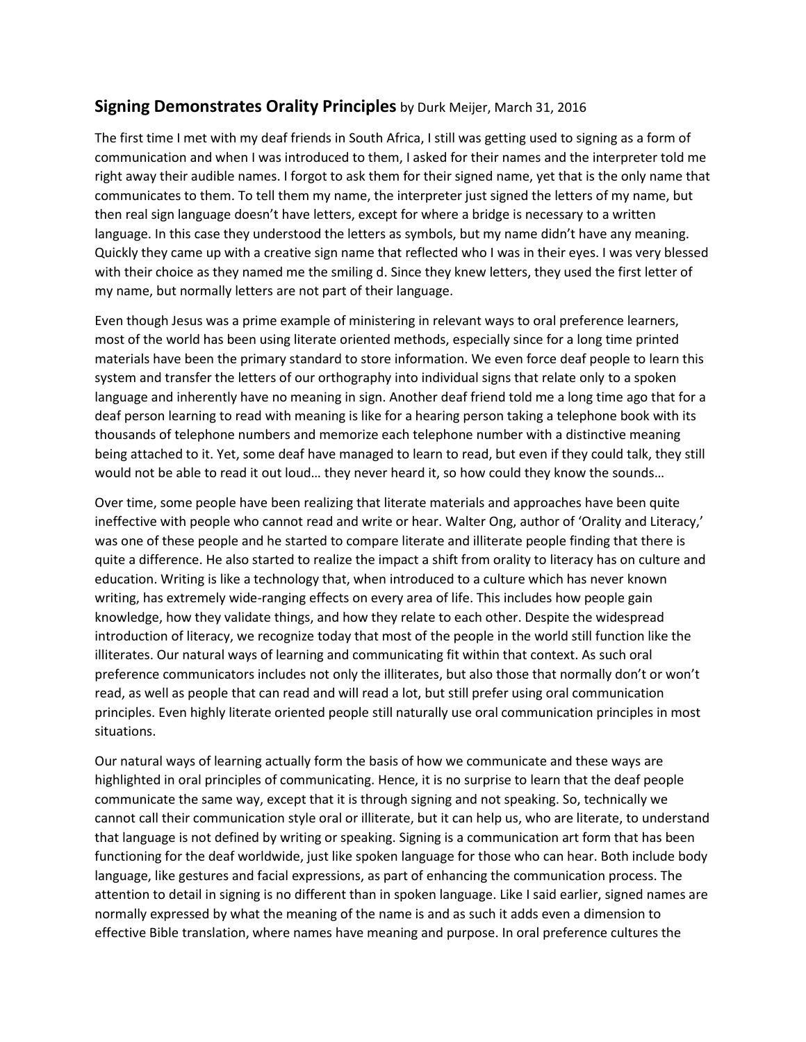## **Signing Demonstrates Orality Principles** by Durk Meijer, March 31, 2016

The first time I met with my deaf friends in South Africa, I still was getting used to signing as a form of communication and when I was introduced to them, I asked for their names and the interpreter told me right away their audible names. I forgot to ask them for their signed name, yet that is the only name that communicates to them. To tell them my name, the interpreter just signed the letters of my name, but then real sign language doesn't have letters, except for where a bridge is necessary to a written language. In this case they understood the letters as symbols, but my name didn't have any meaning. Quickly they came up with a creative sign name that reflected who I was in their eyes. I was very blessed with their choice as they named me the smiling d. Since they knew letters, they used the first letter of my name, but normally letters are not part of their language.

Even though Jesus was a prime example of ministering in relevant ways to oral preference learners, most of the world has been using literate oriented methods, especially since for a long time printed materials have been the primary standard to store information. We even force deaf people to learn this system and transfer the letters of our orthography into individual signs that relate only to a spoken language and inherently have no meaning in sign. Another deaf friend told me a long time ago that for a deaf person learning to read with meaning is like for a hearing person taking a telephone book with its thousands of telephone numbers and memorize each telephone number with a distinctive meaning being attached to it. Yet, some deaf have managed to learn to read, but even if they could talk, they still would not be able to read it out loud… they never heard it, so how could they know the sounds…

Over time, some people have been realizing that literate materials and approaches have been quite ineffective with people who cannot read and write or hear. Walter Ong, author of 'Orality and Literacy,' was one of these people and he started to compare literate and illiterate people finding that there is quite a difference. He also started to realize the impact a shift from orality to literacy has on culture and education. Writing is like a technology that, when introduced to a culture which has never known writing, has extremely wide-ranging effects on every area of life. This includes how people gain knowledge, how they validate things, and how they relate to each other. Despite the widespread introduction of literacy, we recognize today that most of the people in the world still function like the illiterates. Our natural ways of learning and communicating fit within that context. As such oral preference communicators includes not only the illiterates, but also those that normally don't or won't read, as well as people that can read and will read a lot, but still prefer using oral communication principles. Even highly literate oriented people still naturally use oral communication principles in most situations.

Our natural ways of learning actually form the basis of how we communicate and these ways are highlighted in oral principles of communicating. Hence, it is no surprise to learn that the deaf people communicate the same way, except that it is through signing and not speaking. So, technically we cannot call their communication style oral or illiterate, but it can help us, who are literate, to understand that language is not defined by writing or speaking. Signing is a communication art form that has been functioning for the deaf worldwide, just like spoken language for those who can hear. Both include body language, like gestures and facial expressions, as part of enhancing the communication process. The attention to detail in signing is no different than in spoken language. Like I said earlier, signed names are normally expressed by what the meaning of the name is and as such it adds even a dimension to effective Bible translation, where names have meaning and purpose. In oral preference cultures the